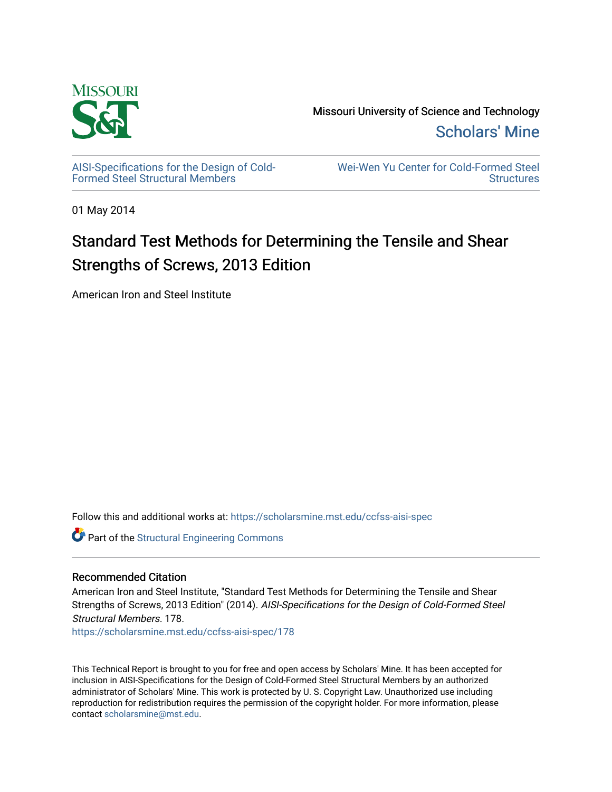

[AISI-Specifications for the Design of Cold-](https://scholarsmine.mst.edu/ccfss-aisi-spec)[Formed Steel Structural Members](https://scholarsmine.mst.edu/ccfss-aisi-spec)

[Wei-Wen Yu Center for Cold-Formed Steel](https://scholarsmine.mst.edu/ccfss)  **Structures** 

01 May 2014

## Standard Test Methods for Determining the Tensile and Shear Strengths of Screws, 2013 Edition

American Iron and Steel Institute

Follow this and additional works at: [https://scholarsmine.mst.edu/ccfss-aisi-spec](https://scholarsmine.mst.edu/ccfss-aisi-spec?utm_source=scholarsmine.mst.edu%2Fccfss-aisi-spec%2F178&utm_medium=PDF&utm_campaign=PDFCoverPages) 

**Part of the Structural Engineering Commons** 

#### Recommended Citation

American Iron and Steel Institute, "Standard Test Methods for Determining the Tensile and Shear Strengths of Screws, 2013 Edition" (2014). AISI-Specifications for the Design of Cold-Formed Steel Structural Members. 178.

[https://scholarsmine.mst.edu/ccfss-aisi-spec/178](https://scholarsmine.mst.edu/ccfss-aisi-spec/178?utm_source=scholarsmine.mst.edu%2Fccfss-aisi-spec%2F178&utm_medium=PDF&utm_campaign=PDFCoverPages) 

This Technical Report is brought to you for free and open access by Scholars' Mine. It has been accepted for inclusion in AISI-Specifications for the Design of Cold-Formed Steel Structural Members by an authorized administrator of Scholars' Mine. This work is protected by U. S. Copyright Law. Unauthorized use including reproduction for redistribution requires the permission of the copyright holder. For more information, please contact [scholarsmine@mst.edu](mailto:scholarsmine@mst.edu).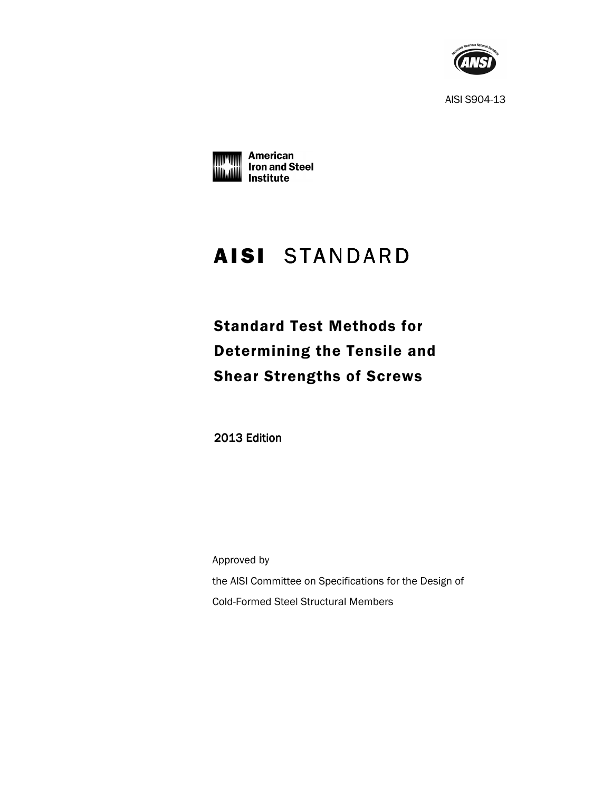

AISI S904-13



# AISI STANDARD

## Standard Test Methods for Determining the Tensile and Shear Strengths of Screws

2013Edition

Approved by the AISI Committee on Specifications for the Design of Cold-Formed Steel Structural Members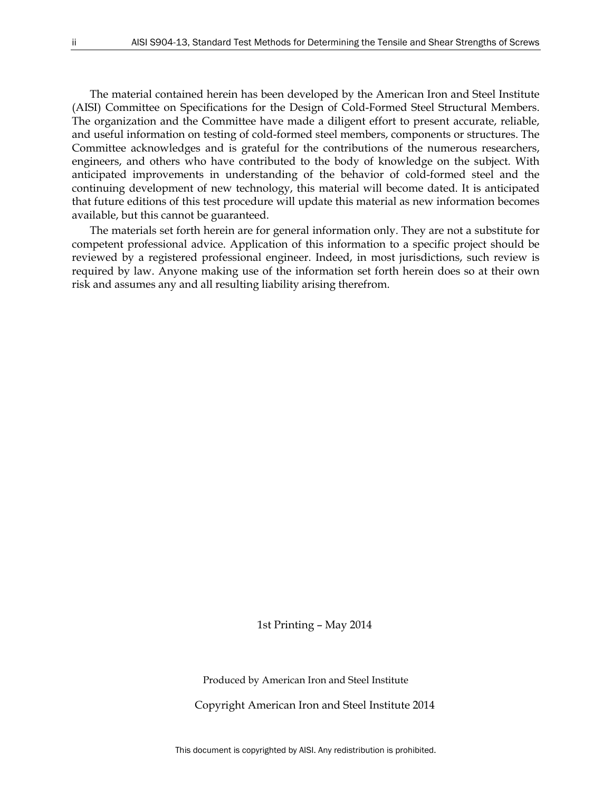The material contained herein has been developed by the American Iron and Steel Institute (AISI) Committee on Specifications for the Design of Cold-Formed Steel Structural Members. The organization and the Committee have made a diligent effort to present accurate, reliable, and useful information on testing of cold-formed steel members, components or structures. The Committee acknowledges and is grateful for the contributions of the numerous researchers, engineers, and others who have contributed to the body of knowledge on the subject. With anticipated improvements in understanding of the behavior of cold-formed steel and the continuing development of new technology, this material will become dated. It is anticipated that future editions of this test procedure will update this material as new information becomes available, but this cannot be guaranteed.

The materials set forth herein are for general information only. They are not a substitute for competent professional advice. Application of this information to a specific project should be reviewed by a registered professional engineer. Indeed, in most jurisdictions, such review is required by law. Anyone making use of the information set forth herein does so at their own risk and assumes any and all resulting liability arising therefrom.

1st Printing – May 2014

Produced by American Iron and Steel Institute

Copyright American Iron and Steel Institute 2014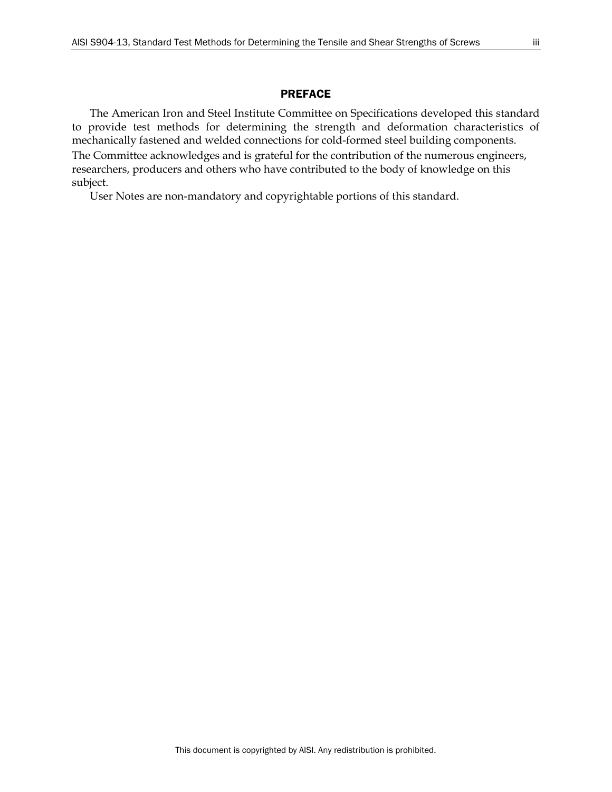#### PREFACE

The American Iron and Steel Institute Committee on Specifications developed this standard to provide test methods for determining the strength and deformation characteristics of mechanically fastened and welded connections for cold-formed steel building components. The Committee acknowledges and is grateful for the contribution of the numerous engineers, researchers, producers and others who have contributed to the body of knowledge on this subject.

User Notes are non-mandatory and copyrightable portions of this standard.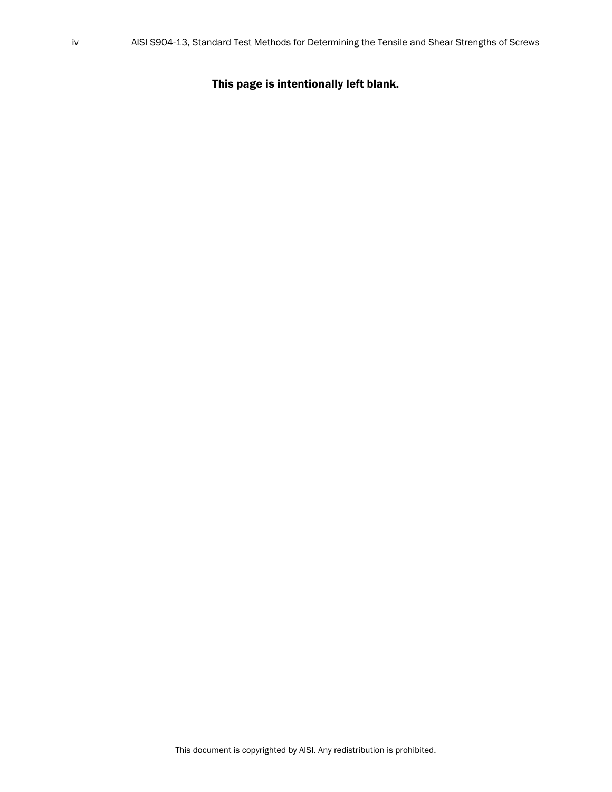### This page is intentionally left blank.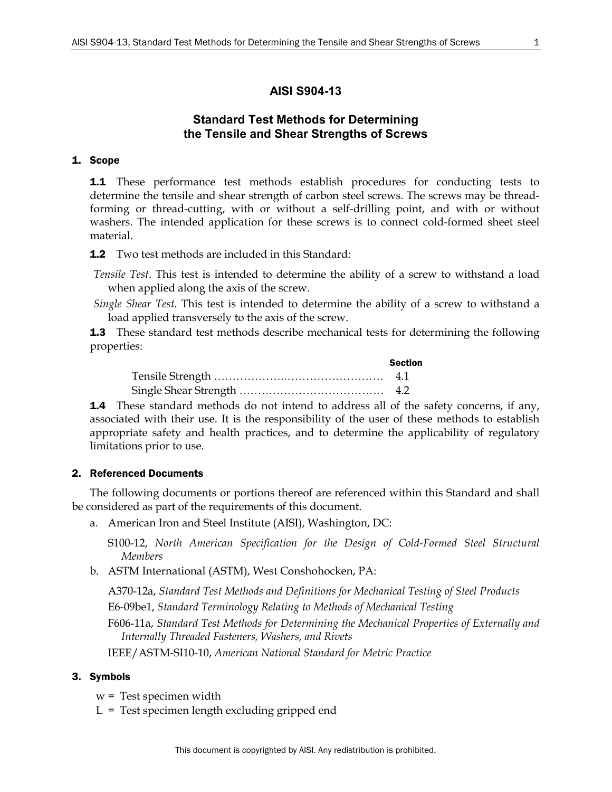#### **AISI S904-13**

### **Standard Test Methods for Determining the Tensile and Shear Strengths of Screws**

#### 1. Scope

**1.1** These performance test methods establish procedures for conducting tests to determine the tensile and shear strength of carbon steel screws. The screws may be threadforming or thread-cutting, with or without a self-drilling point, and with or without washers. The intended application for these screws is to connect cold-formed sheet steel material.

**1.2** Two test methods are included in this Standard:

- *Tensile Test*. This test is intended to determine the ability of a screw to withstand a load when applied along the axis of the screw.
- *Single Shear Test*. This test is intended to determine the ability of a screw to withstand a load applied transversely to the axis of the screw.

**1.3** These standard test methods describe mechanical tests for determining the following properties:

| <b>Section</b> |
|----------------|
|                |
|                |

**1.4** These standard methods do not intend to address all of the safety concerns, if any, associated with their use. It is the responsibility of the user of these methods to establish appropriate safety and health practices, and to determine the applicability of regulatory limitations prior to use.

#### 2. Referenced Documents

The following documents or portions thereof are referenced within this Standard and shall be considered as part of the requirements of this document.

a. American Iron and Steel Institute (AISI), Washington, DC:

 S100-12, *North American Specification for the Design of Cold-Formed Steel Structural Members*

b. ASTM International (ASTM), West Conshohocken, PA:

 A370-12a, *Standard Test Methods and Definitions for Mechanical Testing of Steel Products* E6-09be1, *Standard Terminology Relating to Methods of Mechanical Testing*

 F606-11a, *Standard Test Methods for Determining the Mechanical Properties of Externally and Internally Threaded Fasteners, Washers, and Rivets* 

IEEE/ASTM-SI10-10, *American National Standard for Metric Practice*

#### 3. Symbols

- w = Test specimen width
- $L = Test$  specimen length excluding gripped end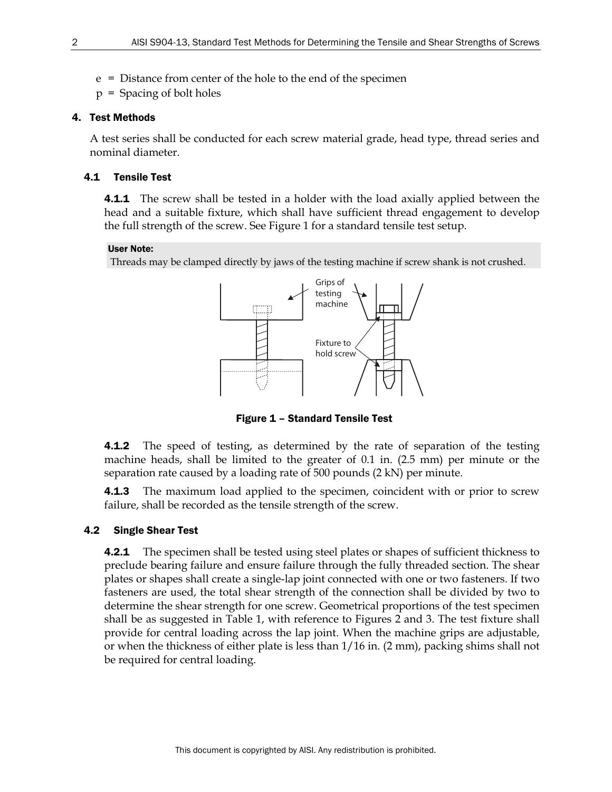- e = Distance from center of the hole to the end of the specimen
- p = Spacing of bolt holes

#### 4. Test Methods

A test series shall be conducted for each screw material grade, head type, thread series and nominal diameter.

#### 4.1 Tensile Test

**4.1.1** The screw shall be tested in a holder with the load axially applied between the head and a suitable fixture, which shall have sufficient thread engagement to develop the full strength of the screw. See Figure 1 for a standard tensile test setup.

#### User Note:

Threads may be clamped directly by jaws of the testing machine if screw shank is not crushed.



Figure 1 – Standard Tensile Test

**4.1.2** The speed of testing, as determined by the rate of separation of the testing machine heads, shall be limited to the greater of 0.1 in. (2.5 mm) per minute or the separation rate caused by a loading rate of 500 pounds (2 kN) per minute.

**4.1.3** The maximum load applied to the specimen, coincident with or prior to screw failure, shall be recorded as the tensile strength of the screw.

#### 4.2 Single Shear Test

**4.2.1** The specimen shall be tested using steel plates or shapes of sufficient thickness to preclude bearing failure and ensure failure through the fully threaded section. The shear plates or shapes shall create a single-lap joint connected with one or two fasteners. If two fasteners are used, the total shear strength of the connection shall be divided by two to determine the shear strength for one screw. Geometrical proportions of the test specimen shall be as suggested in Table 1, with reference to Figures 2 and 3. The test fixture shall provide for central loading across the lap joint. When the machine grips are adjustable, or when the thickness of either plate is less than 1/16 in. (2 mm), packing shims shall not be required for central loading.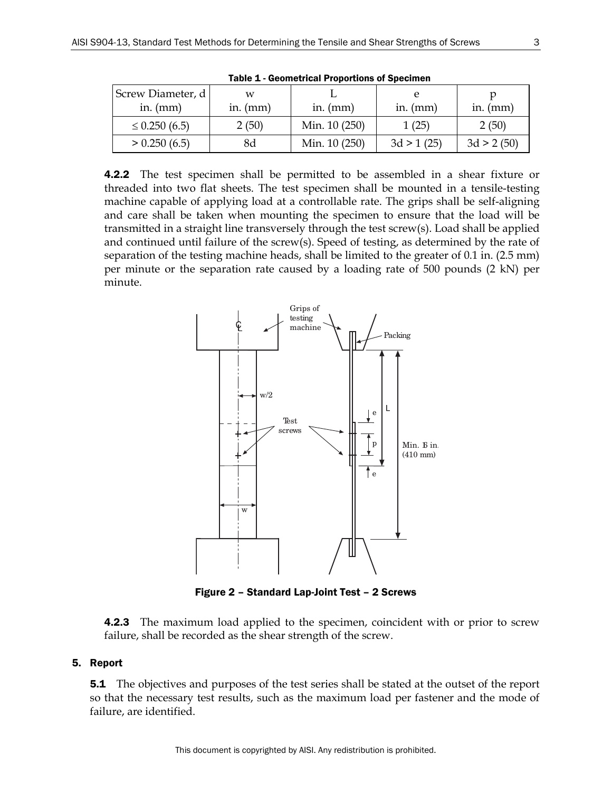| Screw Diameter, d<br>in. $(mm)$ | w<br>in. $(mm)$ | in. $(mm)$    | in. $(mm)$ | in. $(mm)$ |
|---------------------------------|-----------------|---------------|------------|------------|
| $\leq$ 0.250 (6.5)              | 2(50)           | Min. 10 (250) | 1(25)      | 2(50)      |
| > 0.250(6.5)                    | 8d              | Min. 10 (250) | 3d > 1(25) | 3d > 2(50) |

Table 1 - Geometrical Proportions of Specimen

**4.2.2** The test specimen shall be permitted to be assembled in a shear fixture or threaded into two flat sheets. The test specimen shall be mounted in a tensile-testing machine capable of applying load at a controllable rate. The grips shall be self-aligning and care shall be taken when mounting the specimen to ensure that the load will be transmitted in a straight line transversely through the test screw(s). Load shall be applied and continued until failure of the screw(s). Speed of testing, as determined by the rate of separation of the testing machine heads, shall be limited to the greater of 0.1 in. (2.5 mm) per minute or the separation rate caused by a loading rate of 500 pounds (2 kN) per minute.



Figure 2 – Standard Lap-Joint Test – 2 Screws

**4.2.3** The maximum load applied to the specimen, coincident with or prior to screw failure, shall be recorded as the shear strength of the screw.

#### 5. Report

**5.1** The objectives and purposes of the test series shall be stated at the outset of the report so that the necessary test results, such as the maximum load per fastener and the mode of failure, are identified.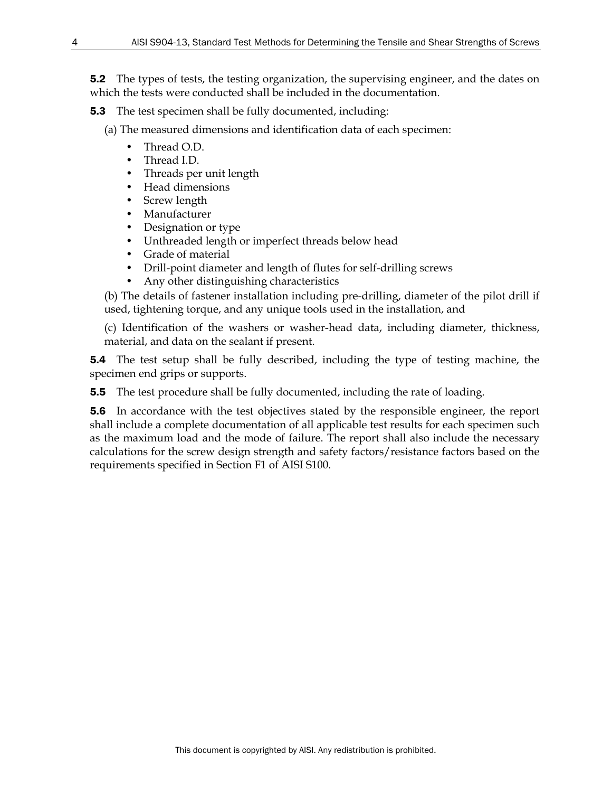**5.2** The types of tests, the testing organization, the supervising engineer, and the dates on which the tests were conducted shall be included in the documentation.

**5.3** The test specimen shall be fully documented, including:

(a) The measured dimensions and identification data of each specimen:

- Thread O.D.
- Thread I.D.
- Threads per unit length
- Head dimensions
- Screw length
- Manufacturer
- Designation or type
- Unthreaded length or imperfect threads below head
- Grade of material
- Drill-point diameter and length of flutes for self-drilling screws
- Any other distinguishing characteristics

(b) The details of fastener installation including pre-drilling, diameter of the pilot drill if used, tightening torque, and any unique tools used in the installation, and

(c) Identification of the washers or washer-head data, including diameter, thickness, material, and data on the sealant if present.

**5.4** The test setup shall be fully described, including the type of testing machine, the specimen end grips or supports.

**5.5** The test procedure shall be fully documented, including the rate of loading.

**5.6** In accordance with the test objectives stated by the responsible engineer, the report shall include a complete documentation of all applicable test results for each specimen such as the maximum load and the mode of failure. The report shall also include the necessary calculations for the screw design strength and safety factors/resistance factors based on the requirements specified in Section F1 of AISI S100.